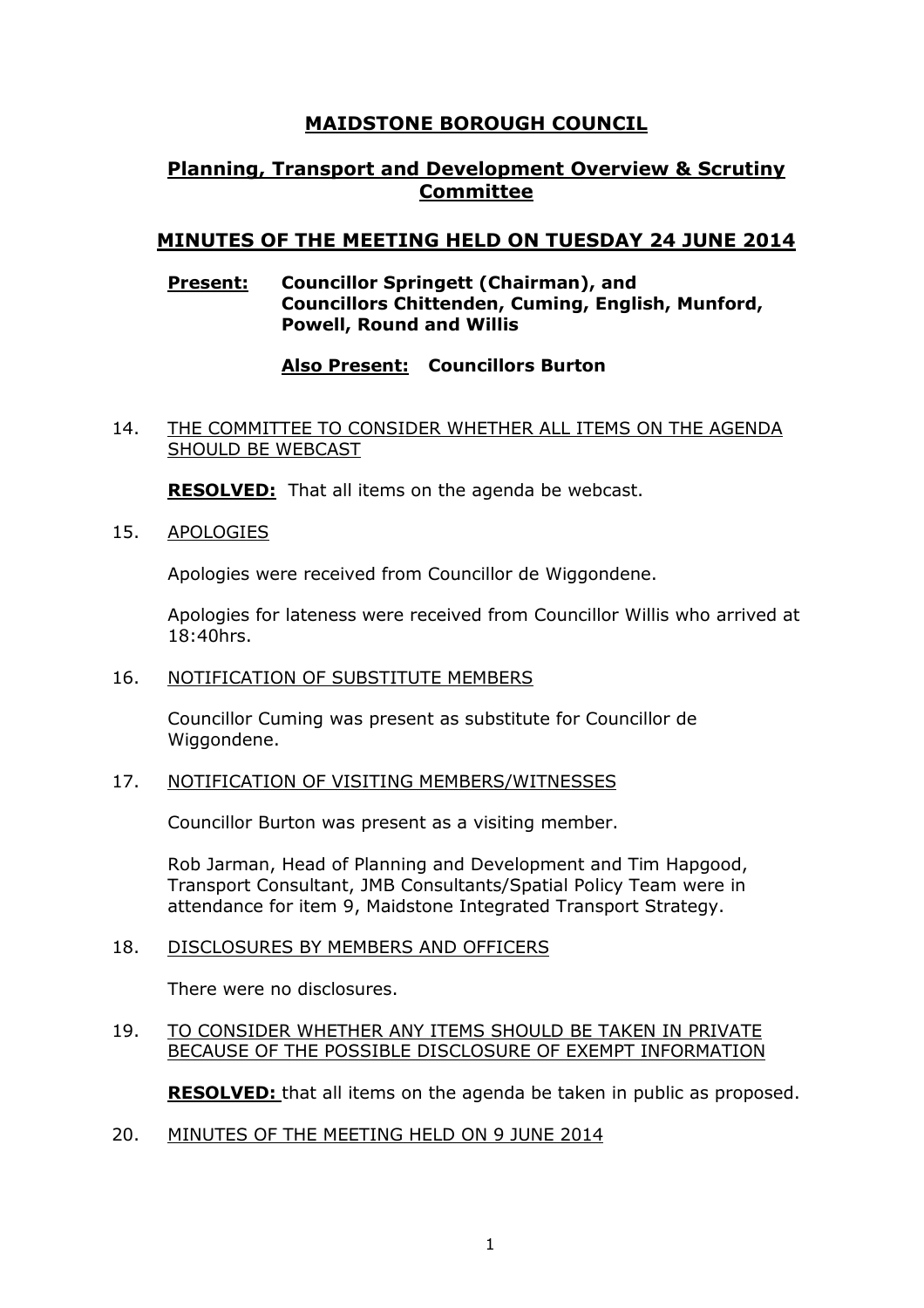# **MAIDSTONE BOROUGH COUNCIL**

# **Planning, Transport and Development Overview & Scrutiny Committee**

# **MINUTES OF THE MEETING HELD ON TUESDAY 24 JUNE 2014**

### **Present: Councillor Springett (Chairman), and Councillors Chittenden, Cuming, English, Munford, Powell, Round and Willis**

### **Also Present: Councillors Burton**

#### 14. THE COMMITTEE TO CONSIDER WHETHER ALL ITEMS ON THE AGENDA SHOULD BE WEBCAST

**RESOLVED:** That all items on the agenda be webcast.

15. APOLOGIES

Apologies were received from Councillor de Wiggondene.

Apologies for lateness were received from Councillor Willis who arrived at 18:40hrs.

16. NOTIFICATION OF SUBSTITUTE MEMBERS

Councillor Cuming was present as substitute for Councillor de Wiggondene.

#### 17. NOTIFICATION OF VISITING MEMBERS/WITNESSES

Councillor Burton was present as a visiting member.

Rob Jarman, Head of Planning and Development and Tim Hapgood, Transport Consultant, JMB Consultants/Spatial Policy Team were in attendance for item 9, Maidstone Integrated Transport Strategy.

#### 18. DISCLOSURES BY MEMBERS AND OFFICERS

There were no disclosures.

#### 19. TO CONSIDER WHETHER ANY ITEMS SHOULD BE TAKEN IN PRIVATE BECAUSE OF THE POSSIBLE DISCLOSURE OF EXEMPT INFORMATION

**RESOLVED:** that all items on the agenda be taken in public as proposed.

20. MINUTES OF THE MEETING HELD ON 9 JUNE 2014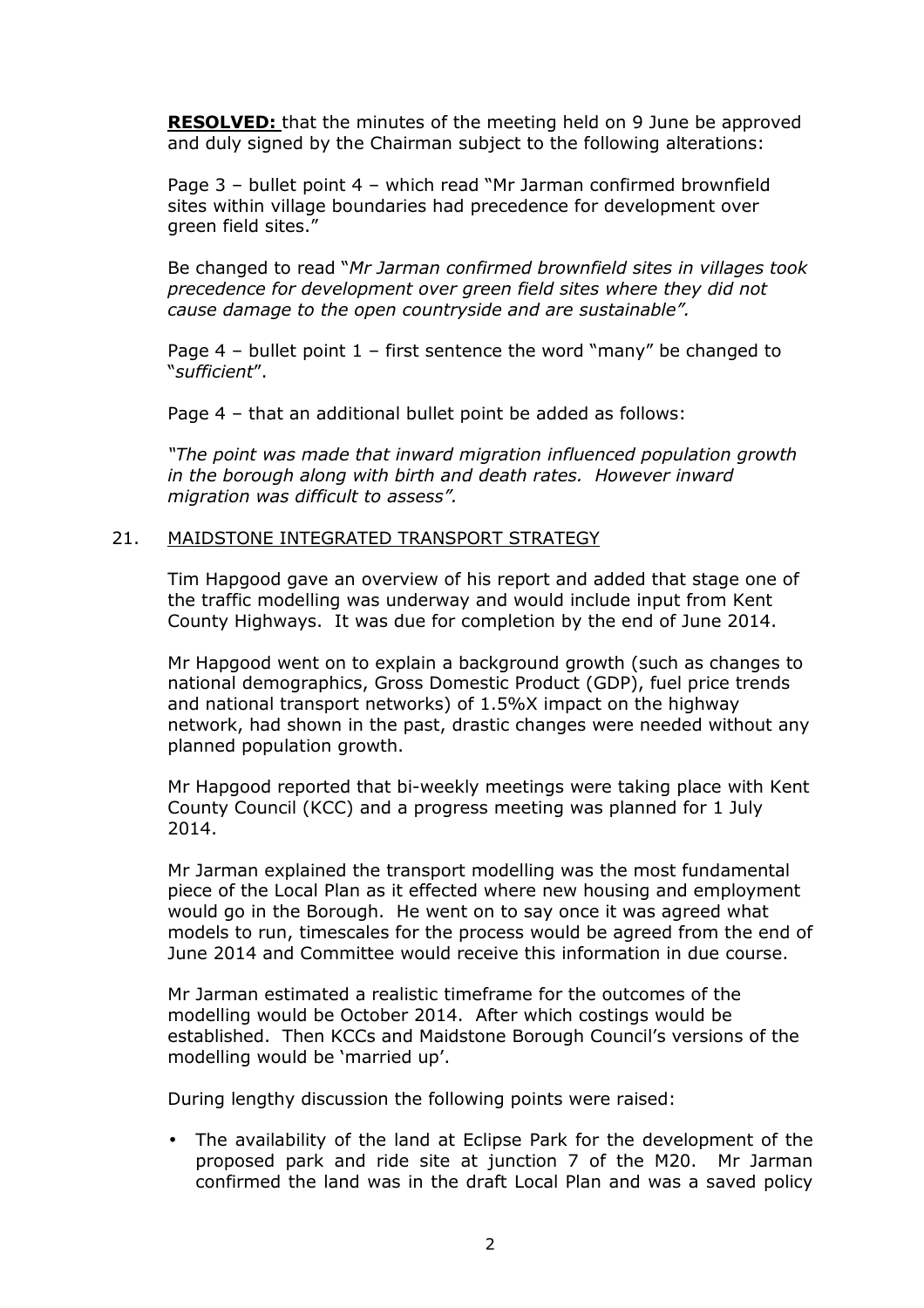**RESOLVED:** that the minutes of the meeting held on 9 June be approved and duly signed by the Chairman subject to the following alterations:

Page 3 – bullet point 4 – which read "Mr Jarman confirmed brownfield sites within village boundaries had precedence for development over green field sites."

Be changed to read "*Mr Jarman confirmed brownfield sites in villages took precedence for development over green field sites where they did not cause damage to the open countryside and are sustainable".* 

Page  $4$  – bullet point  $1$  – first sentence the word "many" be changed to "*sufficient*".

Page 4 – that an additional bullet point be added as follows:

*"The point was made that inward migration influenced population growth in the borough along with birth and death rates. However inward migration was difficult to assess".* 

#### 21. MAIDSTONE INTEGRATED TRANSPORT STRATEGY

Tim Hapgood gave an overview of his report and added that stage one of the traffic modelling was underway and would include input from Kent County Highways. It was due for completion by the end of June 2014.

Mr Hapgood went on to explain a background growth (such as changes to national demographics, Gross Domestic Product (GDP), fuel price trends and national transport networks) of 1.5%X impact on the highway network, had shown in the past, drastic changes were needed without any planned population growth.

Mr Hapgood reported that bi-weekly meetings were taking place with Kent County Council (KCC) and a progress meeting was planned for 1 July 2014.

Mr Jarman explained the transport modelling was the most fundamental piece of the Local Plan as it effected where new housing and employment would go in the Borough. He went on to say once it was agreed what models to run, timescales for the process would be agreed from the end of June 2014 and Committee would receive this information in due course.

Mr Jarman estimated a realistic timeframe for the outcomes of the modelling would be October 2014. After which costings would be established. Then KCCs and Maidstone Borough Council's versions of the modelling would be 'married up'.

During lengthy discussion the following points were raised:

• The availability of the land at Eclipse Park for the development of the proposed park and ride site at junction 7 of the M20. Mr Jarman confirmed the land was in the draft Local Plan and was a saved policy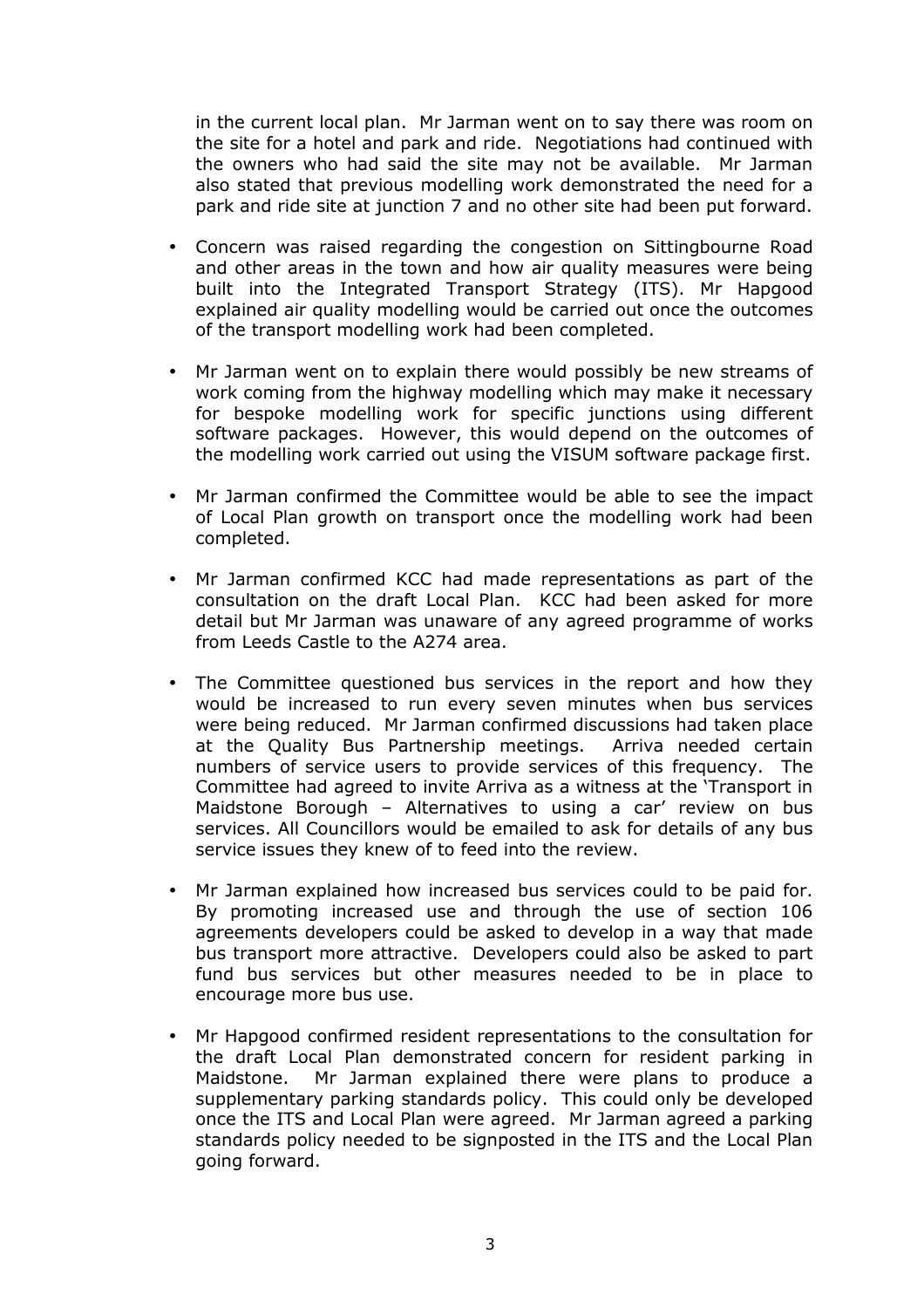in the current local plan. Mr Jarman went on to say there was room on the site for a hotel and park and ride. Negotiations had continued with the owners who had said the site may not be available. Mr Jarman also stated that previous modelling work demonstrated the need for a park and ride site at junction 7 and no other site had been put forward.

- Concern was raised regarding the congestion on Sittingbourne Road and other areas in the town and how air quality measures were being built into the Integrated Transport Strategy (ITS). Mr Hapgood explained air quality modelling would be carried out once the outcomes of the transport modelling work had been completed.
- Mr Jarman went on to explain there would possibly be new streams of work coming from the highway modelling which may make it necessary for bespoke modelling work for specific junctions using different software packages. However, this would depend on the outcomes of the modelling work carried out using the VISUM software package first.
- Mr Jarman confirmed the Committee would be able to see the impact of Local Plan growth on transport once the modelling work had been completed.
- Mr Jarman confirmed KCC had made representations as part of the consultation on the draft Local Plan. KCC had been asked for more detail but Mr Jarman was unaware of any agreed programme of works from Leeds Castle to the A274 area.
- The Committee questioned bus services in the report and how they would be increased to run every seven minutes when bus services were being reduced. Mr Jarman confirmed discussions had taken place at the Quality Bus Partnership meetings. Arriva needed certain numbers of service users to provide services of this frequency. The Committee had agreed to invite Arriva as a witness at the 'Transport in Maidstone Borough – Alternatives to using a car' review on bus services. All Councillors would be emailed to ask for details of any bus service issues they knew of to feed into the review.
- Mr Jarman explained how increased bus services could to be paid for. By promoting increased use and through the use of section 106 agreements developers could be asked to develop in a way that made bus transport more attractive. Developers could also be asked to part fund bus services but other measures needed to be in place to encourage more bus use.
- Mr Hapgood confirmed resident representations to the consultation for the draft Local Plan demonstrated concern for resident parking in Maidstone. Mr Jarman explained there were plans to produce a supplementary parking standards policy. This could only be developed once the ITS and Local Plan were agreed. Mr Jarman agreed a parking standards policy needed to be signposted in the ITS and the Local Plan going forward.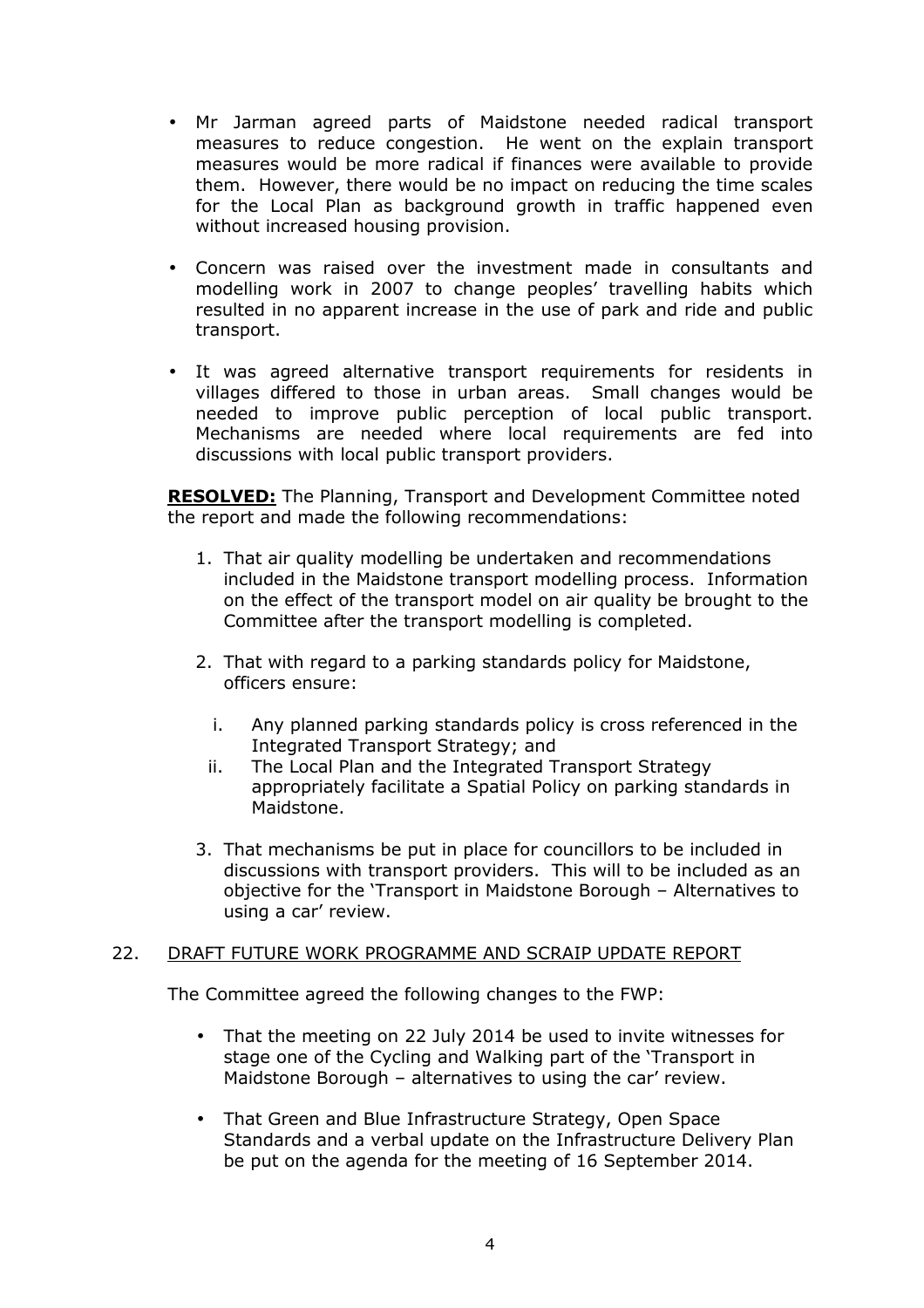- Mr Jarman agreed parts of Maidstone needed radical transport measures to reduce congestion. He went on the explain transport measures would be more radical if finances were available to provide them. However, there would be no impact on reducing the time scales for the Local Plan as background growth in traffic happened even without increased housing provision.
- Concern was raised over the investment made in consultants and modelling work in 2007 to change peoples' travelling habits which resulted in no apparent increase in the use of park and ride and public transport.
- It was agreed alternative transport requirements for residents in villages differed to those in urban areas. Small changes would be needed to improve public perception of local public transport. Mechanisms are needed where local requirements are fed into discussions with local public transport providers.

**RESOLVED:** The Planning, Transport and Development Committee noted the report and made the following recommendations:

- 1. That air quality modelling be undertaken and recommendations included in the Maidstone transport modelling process. Information on the effect of the transport model on air quality be brought to the Committee after the transport modelling is completed.
- 2. That with regard to a parking standards policy for Maidstone, officers ensure:
	- i. Any planned parking standards policy is cross referenced in the Integrated Transport Strategy; and
	- ii. The Local Plan and the Integrated Transport Strategy appropriately facilitate a Spatial Policy on parking standards in Maidstone.
- 3. That mechanisms be put in place for councillors to be included in discussions with transport providers. This will to be included as an objective for the 'Transport in Maidstone Borough – Alternatives to using a car' review.

## 22. DRAFT FUTURE WORK PROGRAMME AND SCRAIP UPDATE REPORT

The Committee agreed the following changes to the FWP:

- That the meeting on 22 July 2014 be used to invite witnesses for stage one of the Cycling and Walking part of the 'Transport in Maidstone Borough – alternatives to using the car' review.
- That Green and Blue Infrastructure Strategy, Open Space Standards and a verbal update on the Infrastructure Delivery Plan be put on the agenda for the meeting of 16 September 2014.